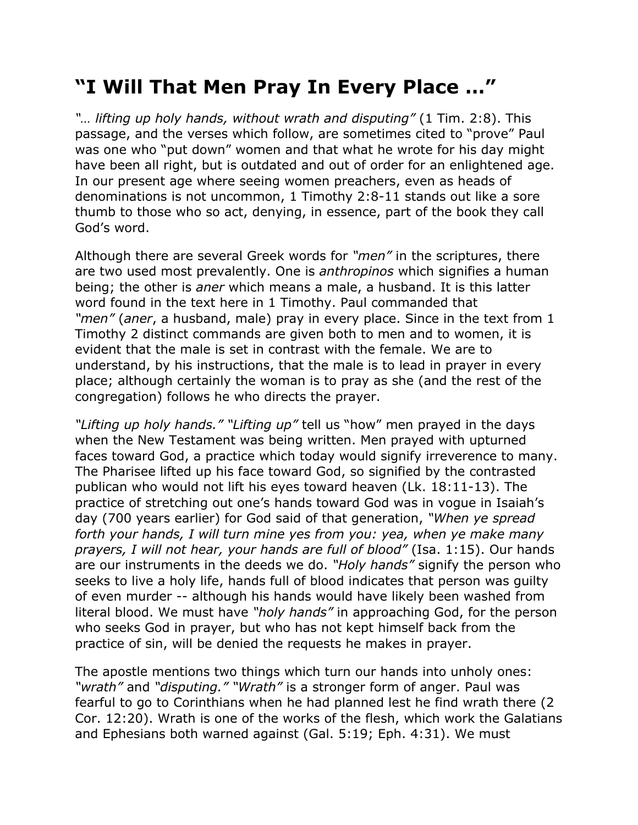## **"I Will That Men Pray In Every Place …"**

*"… lifting up holy hands, without wrath and disputing"* (1 Tim. 2:8). This passage, and the verses which follow, are sometimes cited to "prove" Paul was one who "put down" women and that what he wrote for his day might have been all right, but is outdated and out of order for an enlightened age. In our present age where seeing women preachers, even as heads of denominations is not uncommon, 1 Timothy 2:8-11 stands out like a sore thumb to those who so act, denying, in essence, part of the book they call God's word.

Although there are several Greek words for *"men"* in the scriptures, there are two used most prevalently. One is *anthropinos* which signifies a human being; the other is *aner* which means a male, a husband. It is this latter word found in the text here in 1 Timothy. Paul commanded that *"men"* (*aner*, a husband, male) pray in every place. Since in the text from 1 Timothy 2 distinct commands are given both to men and to women, it is evident that the male is set in contrast with the female. We are to understand, by his instructions, that the male is to lead in prayer in every place; although certainly the woman is to pray as she (and the rest of the congregation) follows he who directs the prayer.

*"Lifting up holy hands." "Lifting up"* tell us "how" men prayed in the days when the New Testament was being written. Men prayed with upturned faces toward God, a practice which today would signify irreverence to many. The Pharisee lifted up his face toward God, so signified by the contrasted publican who would not lift his eyes toward heaven (Lk. 18:11-13). The practice of stretching out one's hands toward God was in vogue in Isaiah's day (700 years earlier) for God said of that generation, *"When ye spread forth your hands, I will turn mine yes from you: yea, when ye make many prayers, I will not hear, your hands are full of blood"* (Isa. 1:15). Our hands are our instruments in the deeds we do. *"Holy hands"* signify the person who seeks to live a holy life, hands full of blood indicates that person was guilty of even murder -- although his hands would have likely been washed from literal blood. We must have *"holy hands"* in approaching God, for the person who seeks God in prayer, but who has not kept himself back from the practice of sin, will be denied the requests he makes in prayer.

The apostle mentions two things which turn our hands into unholy ones: *"wrath"* and *"disputing." "Wrath"* is a stronger form of anger. Paul was fearful to go to Corinthians when he had planned lest he find wrath there (2 Cor. 12:20). Wrath is one of the works of the flesh, which work the Galatians and Ephesians both warned against (Gal. 5:19; Eph. 4:31). We must